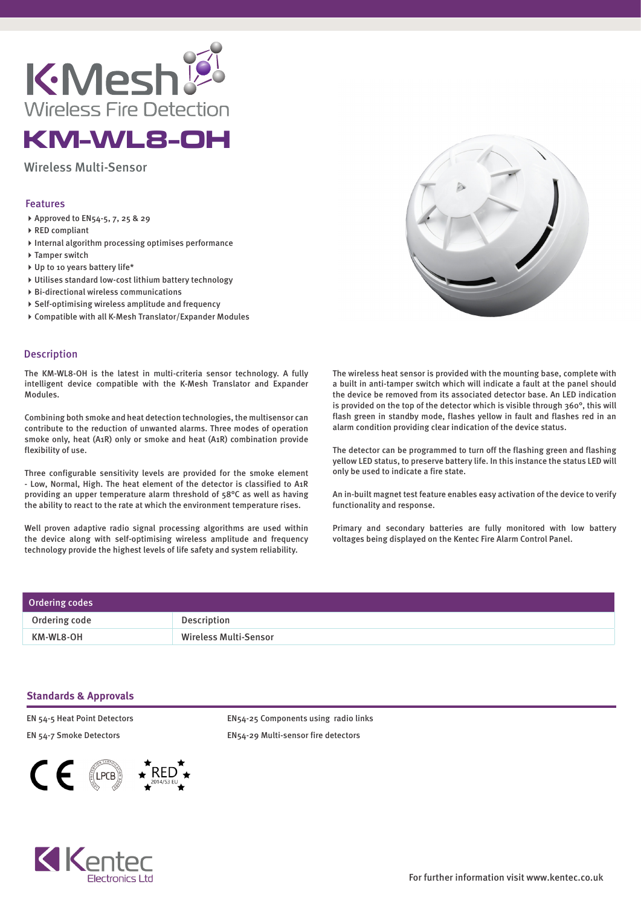

## KM-WL8-OH

Wireless Multi-Sensor

## Features

- Approved to EN54-5, 7, 25 & 29
- ▶ RED compliant
- $\blacktriangleright$  Internal algorithm processing optimises performance
- ▶ Tamper switch
- ▶ Up to 10 years battery life\*
- Utilises standard low-cost lithium battery technology
- Bi-directional wireless communications
- $\triangleright$  Self-optimising wireless amplitude and frequency
- Compatible with all K-Mesh Translator/Expander Modules

## Description

The KM-WL8-OH is the latest in multi-criteria sensor technology. A fully intelligent device compatible with the K-Mesh Translator and Expander Modules.

Combining both smoke and heat detection technologies, the multisensor can contribute to the reduction of unwanted alarms. Three modes of operation smoke only, heat (A1R) only or smoke and heat (A1R) combination provide flexibility of use.

Three configurable sensitivity levels are provided for the smoke element - Low, Normal, High. The heat element of the detector is classified to A1R providing an upper temperature alarm threshold of 58°C as well as having the ability to react to the rate at which the environment temperature rises.

Well proven adaptive radio signal processing algorithms are used within the device along with self-optimising wireless amplitude and frequency technology provide the highest levels of life safety and system reliability.

The wireless heat sensor is provided with the mounting base, complete with a built in anti-tamper switch which will indicate a fault at the panel should the device be removed from its associated detector base. An LED indication is provided on the top of the detector which is visible through 360°, this will flash green in standby mode, flashes yellow in fault and flashes red in an

The detector can be programmed to turn off the flashing green and flashing yellow LED status, to preserve battery life. In this instance the status LED will only be used to indicate a fire state.

alarm condition providing clear indication of the device status.

An in-built magnet test feature enables easy activation of the device to verify functionality and response.

Primary and secondary batteries are fully monitored with low battery voltages being displayed on the Kentec Fire Alarm Control Panel.

| Ordering codes |                              |
|----------------|------------------------------|
| Ordering code  | Description                  |
| KM-WL8-OH      | <b>Wireless Multi-Sensor</b> |

## **Standards & Approvals**

EN 54-5 Heat Point Detectors EN 54-7 Smoke Detectors





EN54-25 Components using radio links EN54-29 Multi-sensor fire detectors